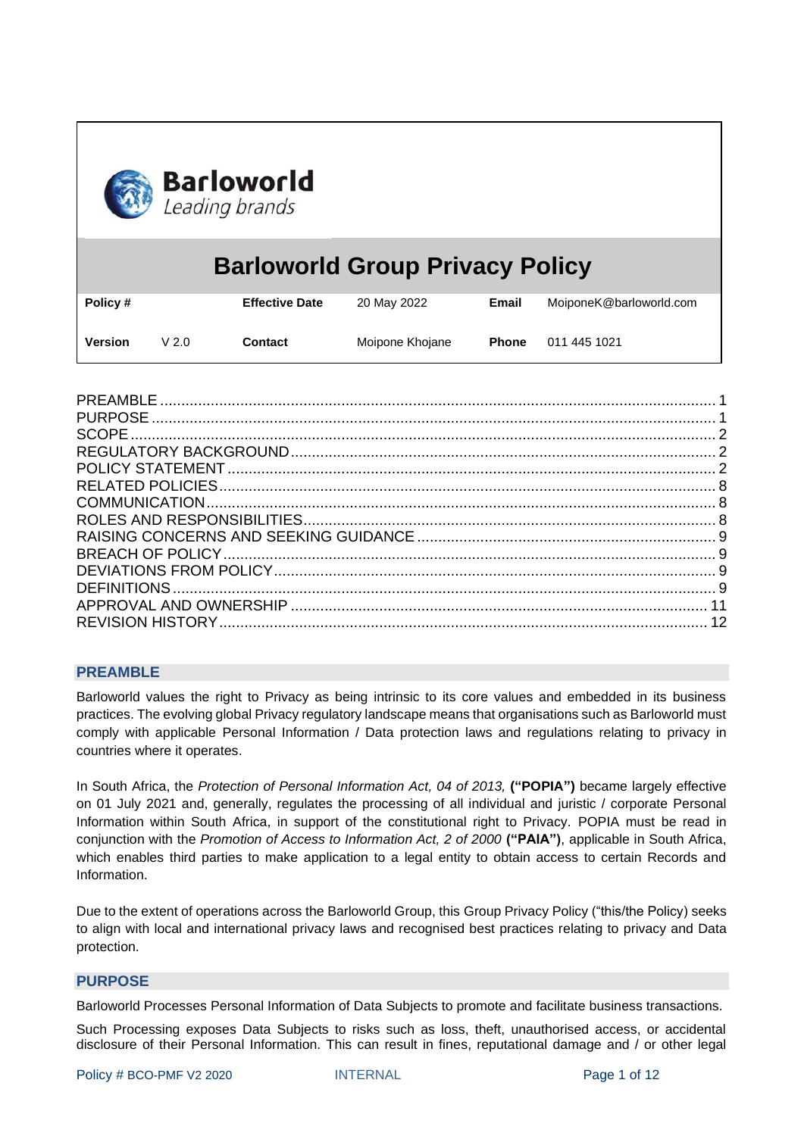

# **Barloworld Group Privacy Policy**

| Policy # |                  | <b>Effective Date</b> | 20 May 2022     | Email        | MoiponeK@barloworld.com |
|----------|------------------|-----------------------|-----------------|--------------|-------------------------|
| Version  | V <sub>2.0</sub> | <b>Contact</b>        | Moipone Khojane | <b>Phone</b> | 011 445 1021            |

#### <span id="page-0-0"></span>**PREAMBLE**

Barloworld values the right to Privacy as being intrinsic to its core values and embedded in its business practices. The evolving global Privacy regulatory landscape means that organisations such as Barloworld must comply with applicable Personal Information / Data protection laws and regulations relating to privacy in countries where it operates.

In South Africa, the *Protection of Personal Information Act, 04 of 2013,* **("POPIA")** became largely effective on 01 July 2021 and, generally, regulates the processing of all individual and juristic / corporate Personal Information within South Africa, in support of the constitutional right to Privacy. POPIA must be read in conjunction with the *Promotion of Access to Information Act, 2 of 2000* **("PAIA")**, applicable in South Africa, which enables third parties to make application to a legal entity to obtain access to certain Records and Information.

Due to the extent of operations across the Barloworld Group, this Group Privacy Policy ("this/the Policy) seeks to align with local and international privacy laws and recognised best practices relating to privacy and Data protection.

#### <span id="page-0-1"></span>**PURPOSE**

Barloworld Processes Personal Information of Data Subjects to promote and facilitate business transactions.

Such Processing exposes Data Subjects to risks such as loss, theft, unauthorised access, or accidental disclosure of their Personal Information. This can result in fines, reputational damage and / or other legal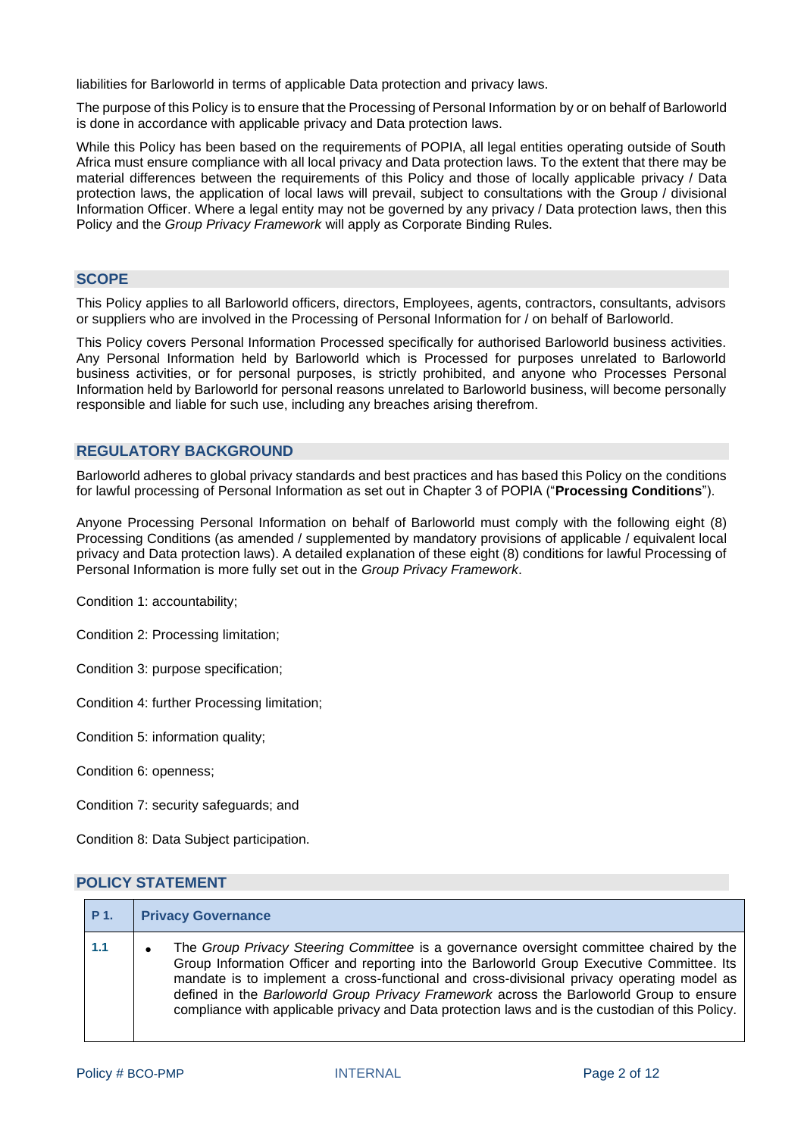liabilities for Barloworld in terms of applicable Data protection and privacy laws.

The purpose of this Policy is to ensure that the Processing of Personal Information by or on behalf of Barloworld is done in accordance with applicable privacy and Data protection laws.

While this Policy has been based on the requirements of POPIA, all legal entities operating outside of South Africa must ensure compliance with all local privacy and Data protection laws. To the extent that there may be material differences between the requirements of this Policy and those of locally applicable privacy / Data protection laws, the application of local laws will prevail, subject to consultations with the Group / divisional Information Officer. Where a legal entity may not be governed by any privacy / Data protection laws, then this Policy and the *Group Privacy Framework* will apply as Corporate Binding Rules.

#### <span id="page-1-0"></span>**SCOPE**

This Policy applies to all Barloworld officers, directors, Employees, agents, contractors, consultants, advisors or suppliers who are involved in the Processing of Personal Information for / on behalf of Barloworld.

This Policy covers Personal Information Processed specifically for authorised Barloworld business activities. Any Personal Information held by Barloworld which is Processed for purposes unrelated to Barloworld business activities, or for personal purposes, is strictly prohibited, and anyone who Processes Personal Information held by Barloworld for personal reasons unrelated to Barloworld business, will become personally responsible and liable for such use, including any breaches arising therefrom.

#### <span id="page-1-1"></span>**REGULATORY BACKGROUND**

Barloworld adheres to global privacy standards and best practices and has based this Policy on the conditions for lawful processing of Personal Information as set out in Chapter 3 of POPIA ("**Processing Conditions**").

Anyone Processing Personal Information on behalf of Barloworld must comply with the following eight (8) Processing Conditions (as amended / supplemented by mandatory provisions of applicable / equivalent local privacy and Data protection laws). A detailed explanation of these eight (8) conditions for lawful Processing of Personal Information is more fully set out in the *Group Privacy Framework*.

Condition 1: accountability;

Condition 2: Processing limitation;

Condition 3: purpose specification;

Condition 4: further Processing limitation;

Condition 5: information quality;

Condition 6: openness;

Condition 7: security safeguards; and

Condition 8: Data Subject participation.

#### <span id="page-1-2"></span>**POLICY STATEMENT**

| P 1. | <b>Privacy Governance</b>                                                                                                                                                                                                                                                                                                                                                                                                                                                          |
|------|------------------------------------------------------------------------------------------------------------------------------------------------------------------------------------------------------------------------------------------------------------------------------------------------------------------------------------------------------------------------------------------------------------------------------------------------------------------------------------|
| 1.1  | The Group Privacy Steering Committee is a governance oversight committee chaired by the<br>Group Information Officer and reporting into the Barloworld Group Executive Committee. Its<br>mandate is to implement a cross-functional and cross-divisional privacy operating model as<br>defined in the Barloworld Group Privacy Framework across the Barloworld Group to ensure<br>compliance with applicable privacy and Data protection laws and is the custodian of this Policy. |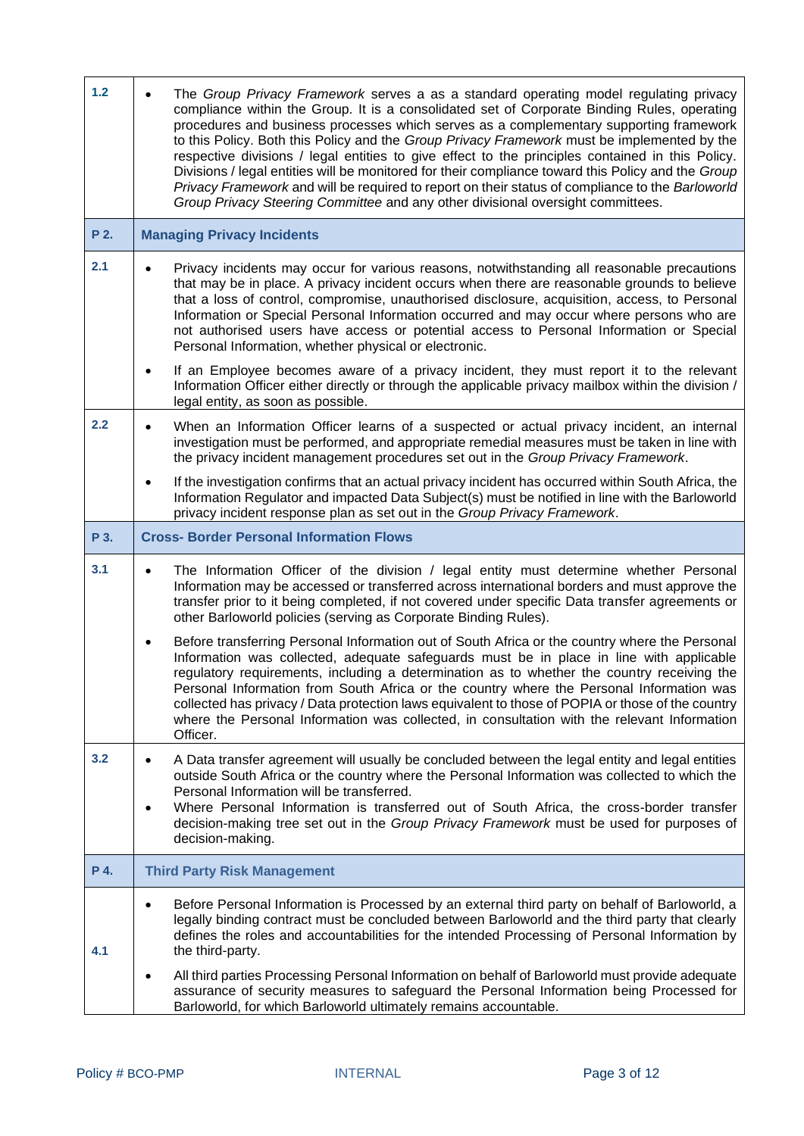| 1.2  | The Group Privacy Framework serves a as a standard operating model regulating privacy<br>compliance within the Group. It is a consolidated set of Corporate Binding Rules, operating<br>procedures and business processes which serves as a complementary supporting framework<br>to this Policy. Both this Policy and the Group Privacy Framework must be implemented by the<br>respective divisions / legal entities to give effect to the principles contained in this Policy.<br>Divisions / legal entities will be monitored for their compliance toward this Policy and the Group<br>Privacy Framework and will be required to report on their status of compliance to the Barloworld<br>Group Privacy Steering Committee and any other divisional oversight committees. |
|------|--------------------------------------------------------------------------------------------------------------------------------------------------------------------------------------------------------------------------------------------------------------------------------------------------------------------------------------------------------------------------------------------------------------------------------------------------------------------------------------------------------------------------------------------------------------------------------------------------------------------------------------------------------------------------------------------------------------------------------------------------------------------------------|
| P 2. | <b>Managing Privacy Incidents</b>                                                                                                                                                                                                                                                                                                                                                                                                                                                                                                                                                                                                                                                                                                                                              |
| 2.1  | Privacy incidents may occur for various reasons, notwithstanding all reasonable precautions<br>that may be in place. A privacy incident occurs when there are reasonable grounds to believe<br>that a loss of control, compromise, unauthorised disclosure, acquisition, access, to Personal<br>Information or Special Personal Information occurred and may occur where persons who are<br>not authorised users have access or potential access to Personal Information or Special<br>Personal Information, whether physical or electronic.                                                                                                                                                                                                                                   |
|      | If an Employee becomes aware of a privacy incident, they must report it to the relevant<br>$\bullet$<br>Information Officer either directly or through the applicable privacy mailbox within the division /<br>legal entity, as soon as possible.                                                                                                                                                                                                                                                                                                                                                                                                                                                                                                                              |
| 2.2  | When an Information Officer learns of a suspected or actual privacy incident, an internal<br>$\bullet$<br>investigation must be performed, and appropriate remedial measures must be taken in line with<br>the privacy incident management procedures set out in the Group Privacy Framework.                                                                                                                                                                                                                                                                                                                                                                                                                                                                                  |
|      | If the investigation confirms that an actual privacy incident has occurred within South Africa, the<br>$\bullet$<br>Information Regulator and impacted Data Subject(s) must be notified in line with the Barloworld<br>privacy incident response plan as set out in the Group Privacy Framework.                                                                                                                                                                                                                                                                                                                                                                                                                                                                               |
| P 3. | <b>Cross- Border Personal Information Flows</b>                                                                                                                                                                                                                                                                                                                                                                                                                                                                                                                                                                                                                                                                                                                                |
| 3.1  | The Information Officer of the division / legal entity must determine whether Personal<br>$\bullet$<br>Information may be accessed or transferred across international borders and must approve the<br>transfer prior to it being completed, if not covered under specific Data transfer agreements or<br>other Barloworld policies (serving as Corporate Binding Rules).                                                                                                                                                                                                                                                                                                                                                                                                      |
|      | Before transferring Personal Information out of South Africa or the country where the Personal<br>٠<br>Information was collected, adequate safequards must be in place in line with applicable<br>regulatory requirements, including a determination as to whether the country receiving the<br>Personal Information from South Africa or the country where the Personal Information was<br>collected has privacy / Data protection laws equivalent to those of POPIA or those of the country<br>where the Personal Information was collected, in consultation with the relevant Information<br>Officer.                                                                                                                                                                       |
| 3.2  | A Data transfer agreement will usually be concluded between the legal entity and legal entities<br>$\bullet$<br>outside South Africa or the country where the Personal Information was collected to which the<br>Personal Information will be transferred.<br>Where Personal Information is transferred out of South Africa, the cross-border transfer<br>decision-making tree set out in the Group Privacy Framework must be used for purposes of<br>decision-making.                                                                                                                                                                                                                                                                                                         |
| P 4. | <b>Third Party Risk Management</b>                                                                                                                                                                                                                                                                                                                                                                                                                                                                                                                                                                                                                                                                                                                                             |
| 4.1  | Before Personal Information is Processed by an external third party on behalf of Barloworld, a<br>$\bullet$<br>legally binding contract must be concluded between Barloworld and the third party that clearly<br>defines the roles and accountabilities for the intended Processing of Personal Information by<br>the third-party.                                                                                                                                                                                                                                                                                                                                                                                                                                             |
|      | All third parties Processing Personal Information on behalf of Barloworld must provide adequate<br>$\bullet$<br>assurance of security measures to safeguard the Personal Information being Processed for<br>Barloworld, for which Barloworld ultimately remains accountable.                                                                                                                                                                                                                                                                                                                                                                                                                                                                                                   |

'n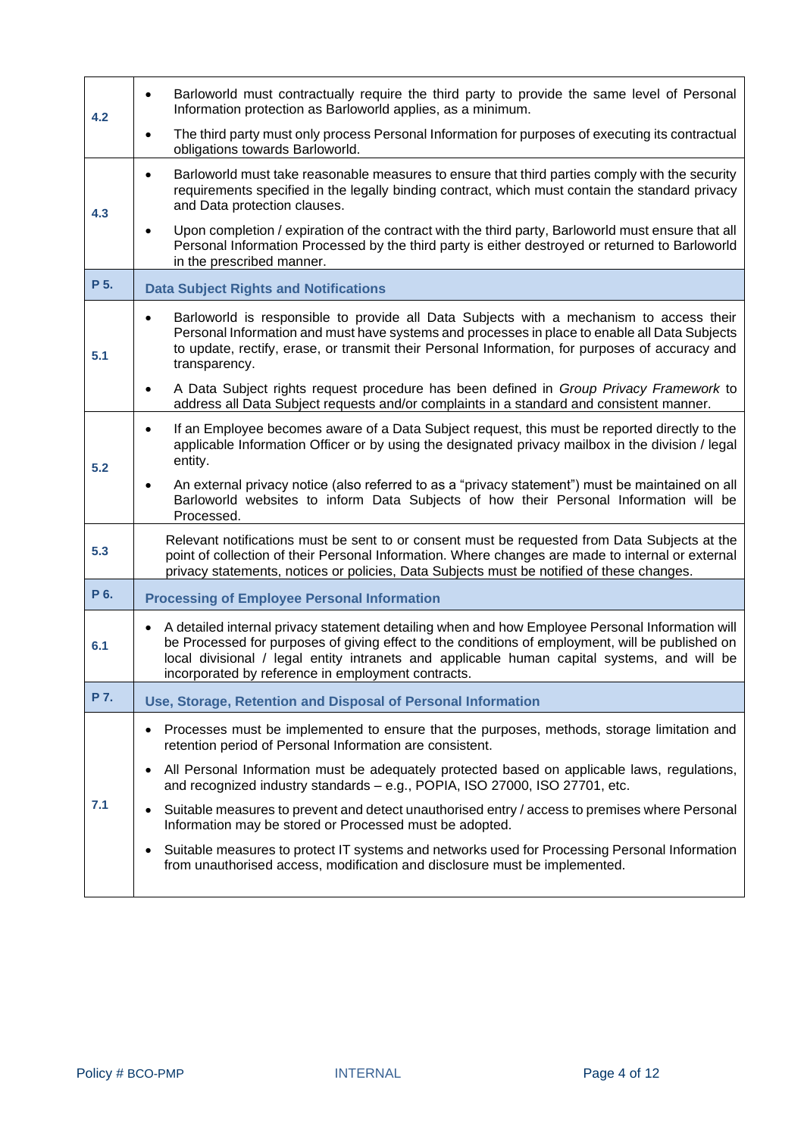| 4.2  | Barloworld must contractually require the third party to provide the same level of Personal<br>$\bullet$<br>Information protection as Barloworld applies, as a minimum.                                                                                                                                                                                               |
|------|-----------------------------------------------------------------------------------------------------------------------------------------------------------------------------------------------------------------------------------------------------------------------------------------------------------------------------------------------------------------------|
|      | The third party must only process Personal Information for purposes of executing its contractual<br>obligations towards Barloworld.                                                                                                                                                                                                                                   |
| 4.3  | Barloworld must take reasonable measures to ensure that third parties comply with the security<br>$\bullet$<br>requirements specified in the legally binding contract, which must contain the standard privacy<br>and Data protection clauses.                                                                                                                        |
|      | Upon completion / expiration of the contract with the third party, Barloworld must ensure that all<br>Personal Information Processed by the third party is either destroyed or returned to Barloworld<br>in the prescribed manner.                                                                                                                                    |
| P 5. | <b>Data Subject Rights and Notifications</b>                                                                                                                                                                                                                                                                                                                          |
| 5.1  | Barloworld is responsible to provide all Data Subjects with a mechanism to access their<br>$\bullet$<br>Personal Information and must have systems and processes in place to enable all Data Subjects<br>to update, rectify, erase, or transmit their Personal Information, for purposes of accuracy and<br>transparency.                                             |
|      | A Data Subject rights request procedure has been defined in Group Privacy Framework to<br>$\bullet$<br>address all Data Subject requests and/or complaints in a standard and consistent manner.                                                                                                                                                                       |
| 5.2  | If an Employee becomes aware of a Data Subject request, this must be reported directly to the<br>$\bullet$<br>applicable Information Officer or by using the designated privacy mailbox in the division / legal<br>entity.                                                                                                                                            |
|      | An external privacy notice (also referred to as a "privacy statement") must be maintained on all<br>٠<br>Barloworld websites to inform Data Subjects of how their Personal Information will be<br>Processed.                                                                                                                                                          |
| 5.3  | Relevant notifications must be sent to or consent must be requested from Data Subjects at the<br>point of collection of their Personal Information. Where changes are made to internal or external<br>privacy statements, notices or policies, Data Subjects must be notified of these changes.                                                                       |
| P 6. | <b>Processing of Employee Personal Information</b>                                                                                                                                                                                                                                                                                                                    |
| 6.1  | A detailed internal privacy statement detailing when and how Employee Personal Information will<br>$\bullet$<br>be Processed for purposes of giving effect to the conditions of employment, will be published on<br>local divisional / legal entity intranets and applicable human capital systems, and will be<br>incorporated by reference in employment contracts. |
| P 7. | Use, Storage, Retention and Disposal of Personal Information                                                                                                                                                                                                                                                                                                          |
|      | Processes must be implemented to ensure that the purposes, methods, storage limitation and<br>٠<br>retention period of Personal Information are consistent.                                                                                                                                                                                                           |
| 7.1  | All Personal Information must be adequately protected based on applicable laws, regulations,<br>$\bullet$<br>and recognized industry standards - e.g., POPIA, ISO 27000, ISO 27701, etc.                                                                                                                                                                              |
|      | Suitable measures to prevent and detect unauthorised entry / access to premises where Personal<br>Information may be stored or Processed must be adopted.                                                                                                                                                                                                             |
|      | Suitable measures to protect IT systems and networks used for Processing Personal Information<br>from unauthorised access, modification and disclosure must be implemented.                                                                                                                                                                                           |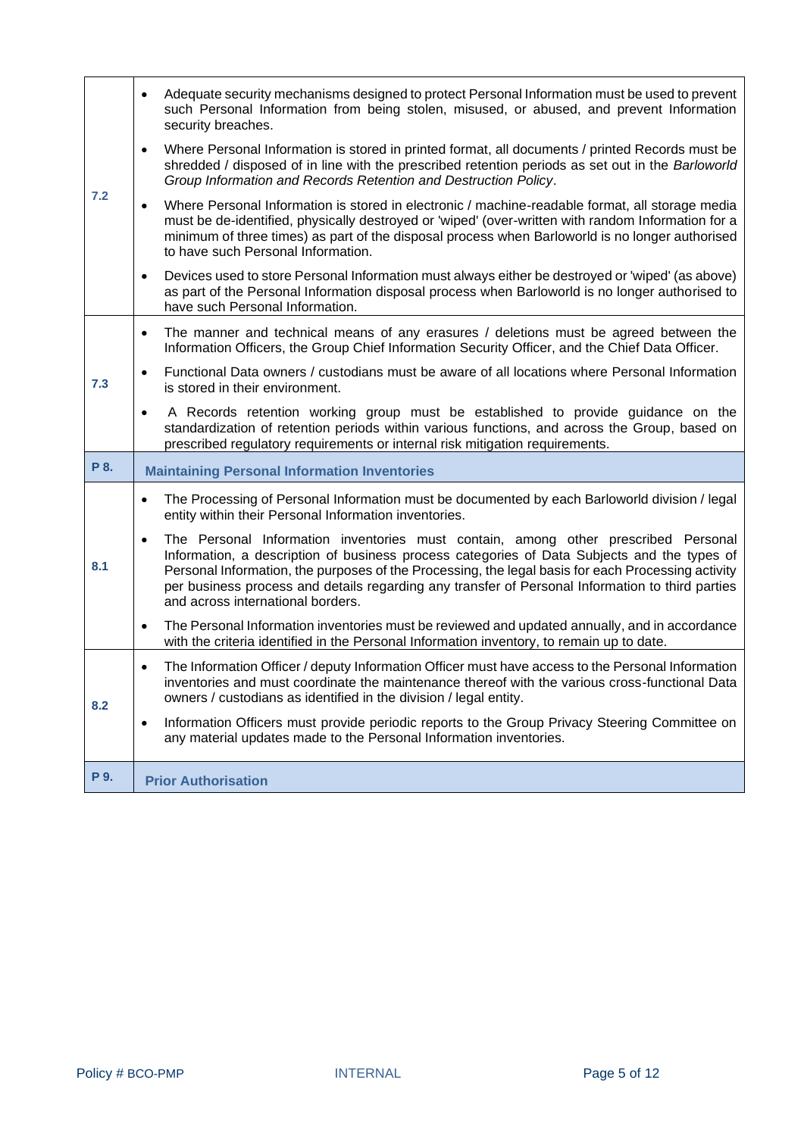|      | Adequate security mechanisms designed to protect Personal Information must be used to prevent<br>such Personal Information from being stolen, misused, or abused, and prevent Information<br>security breaches.                                                                                                                                                                                          |
|------|----------------------------------------------------------------------------------------------------------------------------------------------------------------------------------------------------------------------------------------------------------------------------------------------------------------------------------------------------------------------------------------------------------|
| 7.2  | Where Personal Information is stored in printed format, all documents / printed Records must be<br>$\bullet$<br>shredded / disposed of in line with the prescribed retention periods as set out in the Barloworld<br>Group Information and Records Retention and Destruction Policy.                                                                                                                     |
|      | Where Personal Information is stored in electronic / machine-readable format, all storage media<br>$\bullet$<br>must be de-identified, physically destroyed or 'wiped' (over-written with random Information for a<br>minimum of three times) as part of the disposal process when Barloworld is no longer authorised<br>to have such Personal Information.                                              |
|      | Devices used to store Personal Information must always either be destroyed or 'wiped' (as above)<br>$\bullet$<br>as part of the Personal Information disposal process when Barloworld is no longer authorised to<br>have such Personal Information.                                                                                                                                                      |
|      | The manner and technical means of any erasures / deletions must be agreed between the<br>$\bullet$<br>Information Officers, the Group Chief Information Security Officer, and the Chief Data Officer.                                                                                                                                                                                                    |
| 7.3  | Functional Data owners / custodians must be aware of all locations where Personal Information<br>$\bullet$<br>is stored in their environment.                                                                                                                                                                                                                                                            |
|      | A Records retention working group must be established to provide guidance on the<br>$\bullet$<br>standardization of retention periods within various functions, and across the Group, based on<br>prescribed regulatory requirements or internal risk mitigation requirements.                                                                                                                           |
| P 8. | <b>Maintaining Personal Information Inventories</b>                                                                                                                                                                                                                                                                                                                                                      |
|      | The Processing of Personal Information must be documented by each Barloworld division / legal<br>٠<br>entity within their Personal Information inventories.                                                                                                                                                                                                                                              |
| 8.1  | The Personal Information inventories must contain, among other prescribed Personal<br>$\bullet$<br>Information, a description of business process categories of Data Subjects and the types of<br>Personal Information, the purposes of the Processing, the legal basis for each Processing activity<br>per business process and details regarding any transfer of Personal Information to third parties |
|      | and across international borders.                                                                                                                                                                                                                                                                                                                                                                        |
|      | The Personal Information inventories must be reviewed and updated annually, and in accordance<br>$\bullet$<br>with the criteria identified in the Personal Information inventory, to remain up to date.                                                                                                                                                                                                  |
| 8.2  | The Information Officer / deputy Information Officer must have access to the Personal Information<br>$\bullet$<br>inventories and must coordinate the maintenance thereof with the various cross-functional Data<br>owners / custodians as identified in the division / legal entity.                                                                                                                    |
|      | Information Officers must provide periodic reports to the Group Privacy Steering Committee on<br>$\bullet$<br>any material updates made to the Personal Information inventories.                                                                                                                                                                                                                         |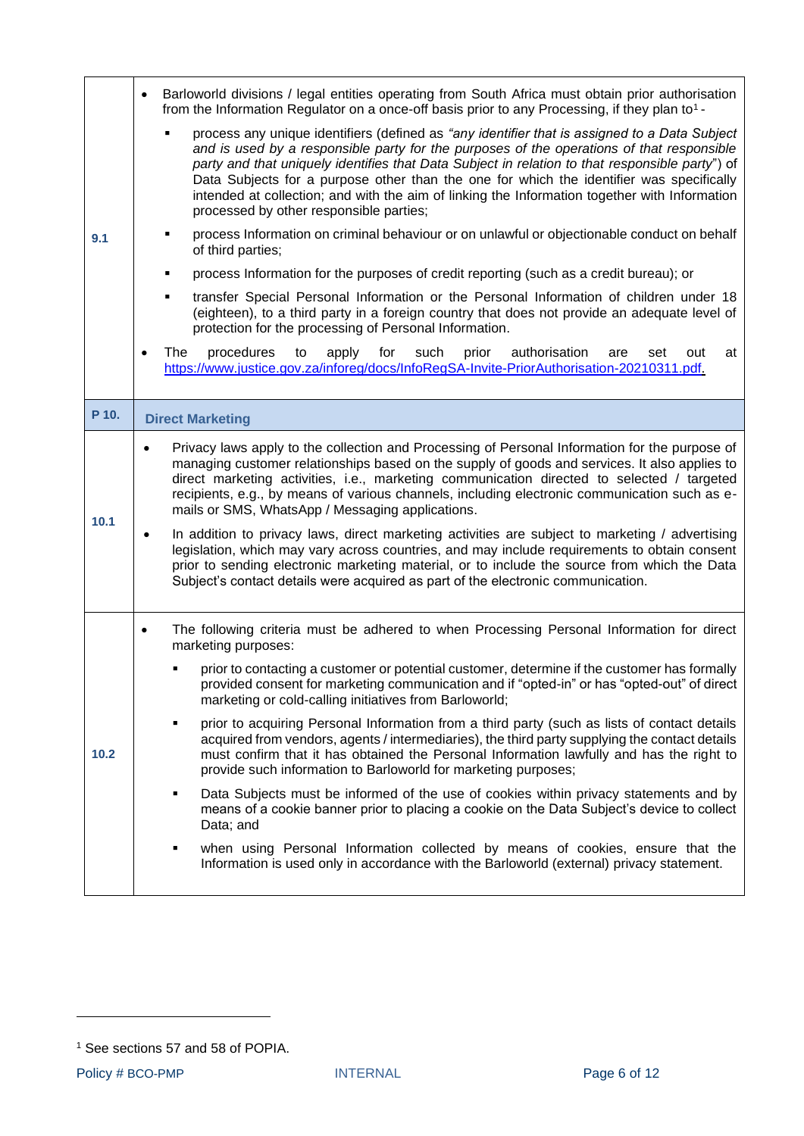|       | Barloworld divisions / legal entities operating from South Africa must obtain prior authorisation<br>$\bullet$<br>from the Information Regulator on a once-off basis prior to any Processing, if they plan to <sup>1</sup> -                                                                                                                                                                                                                                                                                                                                                                                                                                                                                                                                                                                                              |
|-------|-------------------------------------------------------------------------------------------------------------------------------------------------------------------------------------------------------------------------------------------------------------------------------------------------------------------------------------------------------------------------------------------------------------------------------------------------------------------------------------------------------------------------------------------------------------------------------------------------------------------------------------------------------------------------------------------------------------------------------------------------------------------------------------------------------------------------------------------|
| 9.1   | process any unique identifiers (defined as "any identifier that is assigned to a Data Subject<br>and is used by a responsible party for the purposes of the operations of that responsible<br>party and that uniquely identifies that Data Subject in relation to that responsible party") of<br>Data Subjects for a purpose other than the one for which the identifier was specifically<br>intended at collection; and with the aim of linking the Information together with Information<br>processed by other responsible parties;                                                                                                                                                                                                                                                                                                     |
|       | process Information on criminal behaviour or on unlawful or objectionable conduct on behalf<br>٠<br>of third parties;                                                                                                                                                                                                                                                                                                                                                                                                                                                                                                                                                                                                                                                                                                                     |
|       | process Information for the purposes of credit reporting (such as a credit bureau); or<br>٠                                                                                                                                                                                                                                                                                                                                                                                                                                                                                                                                                                                                                                                                                                                                               |
|       | transfer Special Personal Information or the Personal Information of children under 18<br>٠<br>(eighteen), to a third party in a foreign country that does not provide an adequate level of<br>protection for the processing of Personal Information.                                                                                                                                                                                                                                                                                                                                                                                                                                                                                                                                                                                     |
|       | procedures<br>apply<br>for<br>such<br>prior<br>authorisation<br>The<br>to<br>are<br>set<br>out<br>at<br>$\bullet$<br>https://www.justice.gov.za/inforeg/docs/InfoRegSA-Invite-PriorAuthorisation-20210311.pdf.                                                                                                                                                                                                                                                                                                                                                                                                                                                                                                                                                                                                                            |
| P 10. | <b>Direct Marketing</b>                                                                                                                                                                                                                                                                                                                                                                                                                                                                                                                                                                                                                                                                                                                                                                                                                   |
| 10.1  | Privacy laws apply to the collection and Processing of Personal Information for the purpose of<br>managing customer relationships based on the supply of goods and services. It also applies to<br>direct marketing activities, i.e., marketing communication directed to selected / targeted<br>recipients, e.g., by means of various channels, including electronic communication such as e-<br>mails or SMS, WhatsApp / Messaging applications.<br>In addition to privacy laws, direct marketing activities are subject to marketing / advertising<br>legislation, which may vary across countries, and may include requirements to obtain consent<br>prior to sending electronic marketing material, or to include the source from which the Data<br>Subject's contact details were acquired as part of the electronic communication. |
|       | The following criteria must be adhered to when Processing Personal Information for direct<br>$\bullet$<br>marketing purposes:                                                                                                                                                                                                                                                                                                                                                                                                                                                                                                                                                                                                                                                                                                             |
| 10.2  | prior to contacting a customer or potential customer, determine if the customer has formally<br>provided consent for marketing communication and if "opted-in" or has "opted-out" of direct<br>marketing or cold-calling initiatives from Barloworld;                                                                                                                                                                                                                                                                                                                                                                                                                                                                                                                                                                                     |
|       | prior to acquiring Personal Information from a third party (such as lists of contact details<br>٠<br>acquired from vendors, agents / intermediaries), the third party supplying the contact details<br>must confirm that it has obtained the Personal Information lawfully and has the right to<br>provide such information to Barloworld for marketing purposes;                                                                                                                                                                                                                                                                                                                                                                                                                                                                         |
|       | Data Subjects must be informed of the use of cookies within privacy statements and by<br>٠<br>means of a cookie banner prior to placing a cookie on the Data Subject's device to collect<br>Data; and                                                                                                                                                                                                                                                                                                                                                                                                                                                                                                                                                                                                                                     |
|       | when using Personal Information collected by means of cookies, ensure that the<br>٠<br>Information is used only in accordance with the Barloworld (external) privacy statement.                                                                                                                                                                                                                                                                                                                                                                                                                                                                                                                                                                                                                                                           |

<sup>&</sup>lt;sup>1</sup> See sections 57 and 58 of POPIA.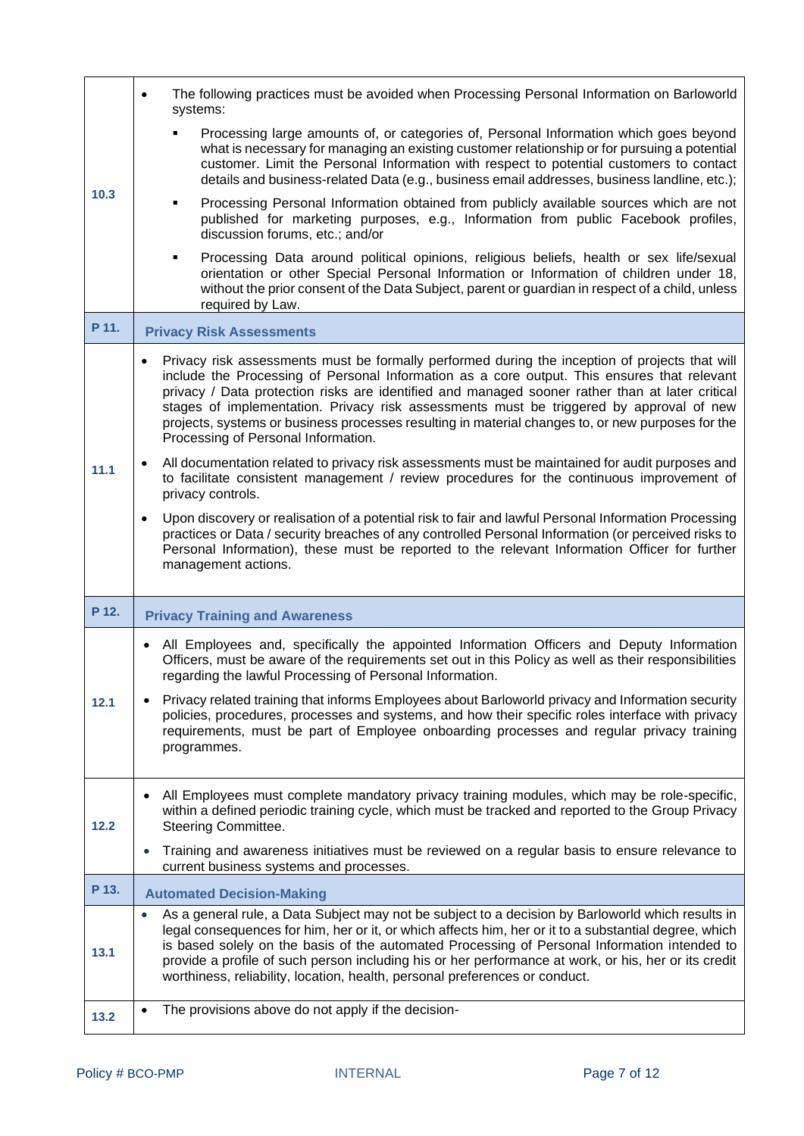|       | The following practices must be avoided when Processing Personal Information on Barloworld<br>$\bullet$<br>systems:                                                                                                                                                                                                                                                                                                                                                                                                                     |
|-------|-----------------------------------------------------------------------------------------------------------------------------------------------------------------------------------------------------------------------------------------------------------------------------------------------------------------------------------------------------------------------------------------------------------------------------------------------------------------------------------------------------------------------------------------|
| 10.3  | Processing large amounts of, or categories of, Personal Information which goes beyond<br>٠<br>what is necessary for managing an existing customer relationship or for pursuing a potential<br>customer. Limit the Personal Information with respect to potential customers to contact<br>details and business-related Data (e.g., business email addresses, business landline, etc.);                                                                                                                                                   |
|       | Processing Personal Information obtained from publicly available sources which are not<br>published for marketing purposes, e.g., Information from public Facebook profiles,<br>discussion forums, etc.; and/or                                                                                                                                                                                                                                                                                                                         |
|       | Processing Data around political opinions, religious beliefs, health or sex life/sexual<br>٠<br>orientation or other Special Personal Information or Information of children under 18,<br>without the prior consent of the Data Subject, parent or guardian in respect of a child, unless<br>required by Law.                                                                                                                                                                                                                           |
| P 11. | <b>Privacy Risk Assessments</b>                                                                                                                                                                                                                                                                                                                                                                                                                                                                                                         |
|       | Privacy risk assessments must be formally performed during the inception of projects that will<br>include the Processing of Personal Information as a core output. This ensures that relevant<br>privacy / Data protection risks are identified and managed sooner rather than at later critical<br>stages of implementation. Privacy risk assessments must be triggered by approval of new<br>projects, systems or business processes resulting in material changes to, or new purposes for the<br>Processing of Personal Information. |
| 11.1  | All documentation related to privacy risk assessments must be maintained for audit purposes and<br>to facilitate consistent management / review procedures for the continuous improvement of<br>privacy controls.                                                                                                                                                                                                                                                                                                                       |
|       | Upon discovery or realisation of a potential risk to fair and lawful Personal Information Processing<br>$\bullet$<br>practices or Data / security breaches of any controlled Personal Information (or perceived risks to<br>Personal Information), these must be reported to the relevant Information Officer for further                                                                                                                                                                                                               |
|       | management actions.                                                                                                                                                                                                                                                                                                                                                                                                                                                                                                                     |
| P 12. | <b>Privacy Training and Awareness</b>                                                                                                                                                                                                                                                                                                                                                                                                                                                                                                   |
|       | • All Employees and, specifically the appointed Information Officers and Deputy Information<br>Officers, must be aware of the requirements set out in this Policy as well as their responsibilities<br>regarding the lawful Processing of Personal Information.                                                                                                                                                                                                                                                                         |
| 12.1  | Privacy related training that informs Employees about Barloworld privacy and Information security<br>policies, procedures, processes and systems, and how their specific roles interface with privacy<br>requirements, must be part of Employee onboarding processes and regular privacy training<br>programmes.                                                                                                                                                                                                                        |
| 12.2  | All Employees must complete mandatory privacy training modules, which may be role-specific,<br>within a defined periodic training cycle, which must be tracked and reported to the Group Privacy<br>Steering Committee.                                                                                                                                                                                                                                                                                                                 |
|       | Training and awareness initiatives must be reviewed on a regular basis to ensure relevance to<br>$\bullet$<br>current business systems and processes.                                                                                                                                                                                                                                                                                                                                                                                   |
| P 13. | <b>Automated Decision-Making</b>                                                                                                                                                                                                                                                                                                                                                                                                                                                                                                        |
| 13.1  | As a general rule, a Data Subject may not be subject to a decision by Barloworld which results in<br>$\bullet$<br>legal consequences for him, her or it, or which affects him, her or it to a substantial degree, which<br>is based solely on the basis of the automated Processing of Personal Information intended to<br>provide a profile of such person including his or her performance at work, or his, her or its credit<br>worthiness, reliability, location, health, personal preferences or conduct.                          |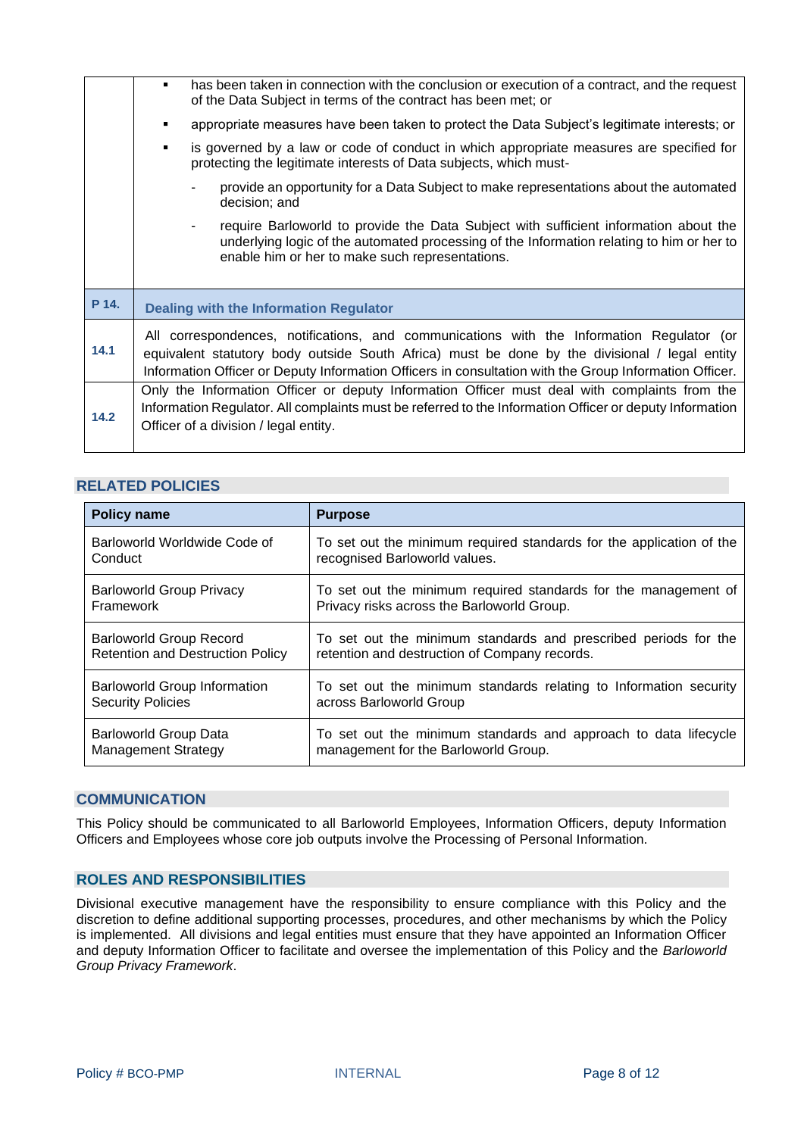|       | has been taken in connection with the conclusion or execution of a contract, and the request<br>of the Data Subject in terms of the contract has been met; or                                                                                                                                        |
|-------|------------------------------------------------------------------------------------------------------------------------------------------------------------------------------------------------------------------------------------------------------------------------------------------------------|
|       | appropriate measures have been taken to protect the Data Subject's legitimate interests; or                                                                                                                                                                                                          |
|       | is governed by a law or code of conduct in which appropriate measures are specified for<br>٠<br>protecting the legitimate interests of Data subjects, which must-                                                                                                                                    |
|       | provide an opportunity for a Data Subject to make representations about the automated<br>decision; and                                                                                                                                                                                               |
|       | require Barloworld to provide the Data Subject with sufficient information about the<br>underlying logic of the automated processing of the Information relating to him or her to<br>enable him or her to make such representations.                                                                 |
| P 14. | <b>Dealing with the Information Regulator</b>                                                                                                                                                                                                                                                        |
| 14.1  | All correspondences, notifications, and communications with the Information Regulator (or<br>equivalent statutory body outside South Africa) must be done by the divisional / legal entity<br>Information Officer or Deputy Information Officers in consultation with the Group Information Officer. |
| 14.2  | Only the Information Officer or deputy Information Officer must deal with complaints from the<br>Information Regulator. All complaints must be referred to the Information Officer or deputy Information<br>Officer of a division / legal entity.                                                    |

#### <span id="page-7-0"></span>**RELATED POLICIES**

| <b>Policy name</b>                      | <b>Purpose</b>                                                       |
|-----------------------------------------|----------------------------------------------------------------------|
| Barloworld Worldwide Code of            | To set out the minimum required standards for the application of the |
| Conduct                                 | recognised Barloworld values.                                        |
| <b>Barloworld Group Privacy</b>         | To set out the minimum required standards for the management of      |
| Framework                               | Privacy risks across the Barloworld Group.                           |
| Barloworld Group Record                 | To set out the minimum standards and prescribed periods for the      |
| <b>Retention and Destruction Policy</b> | retention and destruction of Company records.                        |
| <b>Barloworld Group Information</b>     | To set out the minimum standards relating to Information security    |
| <b>Security Policies</b>                | across Barloworld Group                                              |
| Barloworld Group Data                   | To set out the minimum standards and approach to data lifecycle      |
| <b>Management Strategy</b>              | management for the Barloworld Group.                                 |

#### <span id="page-7-1"></span>**COMMUNICATION**

This Policy should be communicated to all Barloworld Employees, Information Officers, deputy Information Officers and Employees whose core job outputs involve the Processing of Personal Information.

#### <span id="page-7-2"></span>**ROLES AND RESPONSIBILITIES**

Divisional executive management have the responsibility to ensure compliance with this Policy and the discretion to define additional supporting processes, procedures, and other mechanisms by which the Policy is implemented. All divisions and legal entities must ensure that they have appointed an Information Officer and deputy Information Officer to facilitate and oversee the implementation of this Policy and the *Barloworld Group Privacy Framework*.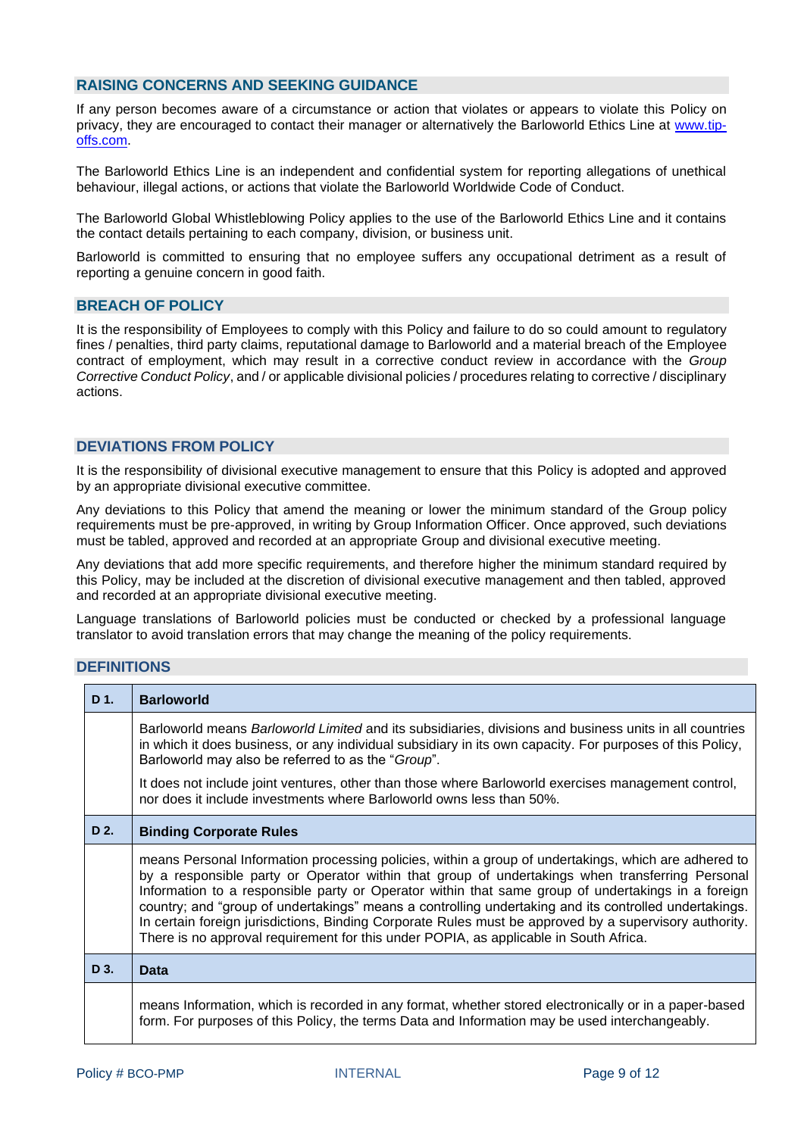#### <span id="page-8-0"></span>**RAISING CONCERNS AND SEEKING GUIDANCE**

If any person becomes aware of a circumstance or action that violates or appears to violate this Policy on privacy, they are encouraged to contact their manager or alternatively the Barloworld Ethics Line at [www.tip](http://www.top-offs.com/)[offs.com.](http://www.top-offs.com/)

The Barloworld Ethics Line is an independent and confidential system for reporting allegations of unethical behaviour, illegal actions, or actions that violate the Barloworld Worldwide Code of Conduct.

The Barloworld Global Whistleblowing Policy applies to the use of the Barloworld Ethics Line and it contains the contact details pertaining to each company, division, or business unit.

Barloworld is committed to ensuring that no employee suffers any occupational detriment as a result of reporting a genuine concern in good faith.

#### <span id="page-8-1"></span>**BREACH OF POLICY**

It is the responsibility of Employees to comply with this Policy and failure to do so could amount to regulatory fines / penalties, third party claims, reputational damage to Barloworld and a material breach of the Employee contract of employment, which may result in a corrective conduct review in accordance with the *Group Corrective Conduct Policy*, and / or applicable divisional policies / procedures relating to corrective / disciplinary actions.

#### <span id="page-8-2"></span>**DEVIATIONS FROM POLICY**

It is the responsibility of divisional executive management to ensure that this Policy is adopted and approved by an appropriate divisional executive committee.

Any deviations to this Policy that amend the meaning or lower the minimum standard of the Group policy requirements must be pre-approved, in writing by Group Information Officer. Once approved, such deviations must be tabled, approved and recorded at an appropriate Group and divisional executive meeting.

Any deviations that add more specific requirements, and therefore higher the minimum standard required by this Policy, may be included at the discretion of divisional executive management and then tabled, approved and recorded at an appropriate divisional executive meeting.

Language translations of Barloworld policies must be conducted or checked by a professional language translator to avoid translation errors that may change the meaning of the policy requirements.

#### <span id="page-8-3"></span>**DEFINITIONS**

| D 1. | <b>Barloworld</b>                                                                                                                                                                                                                                                                                                                                                                                                                                                                                                                                                                                                         |
|------|---------------------------------------------------------------------------------------------------------------------------------------------------------------------------------------------------------------------------------------------------------------------------------------------------------------------------------------------------------------------------------------------------------------------------------------------------------------------------------------------------------------------------------------------------------------------------------------------------------------------------|
|      | Barloworld means Barloworld Limited and its subsidiaries, divisions and business units in all countries<br>in which it does business, or any individual subsidiary in its own capacity. For purposes of this Policy,<br>Barloworld may also be referred to as the "Group".                                                                                                                                                                                                                                                                                                                                                |
|      | It does not include joint ventures, other than those where Barloworld exercises management control,<br>nor does it include investments where Barloworld owns less than 50%.                                                                                                                                                                                                                                                                                                                                                                                                                                               |
| D 2. | <b>Binding Corporate Rules</b>                                                                                                                                                                                                                                                                                                                                                                                                                                                                                                                                                                                            |
|      | means Personal Information processing policies, within a group of undertakings, which are adhered to<br>by a responsible party or Operator within that group of undertakings when transferring Personal<br>Information to a responsible party or Operator within that same group of undertakings in a foreign<br>country; and "group of undertakings" means a controlling undertaking and its controlled undertakings.<br>In certain foreign jurisdictions, Binding Corporate Rules must be approved by a supervisory authority.<br>There is no approval requirement for this under POPIA, as applicable in South Africa. |
| D 3. | Data                                                                                                                                                                                                                                                                                                                                                                                                                                                                                                                                                                                                                      |
|      | means Information, which is recorded in any format, whether stored electronically or in a paper-based<br>form. For purposes of this Policy, the terms Data and Information may be used interchangeably.                                                                                                                                                                                                                                                                                                                                                                                                                   |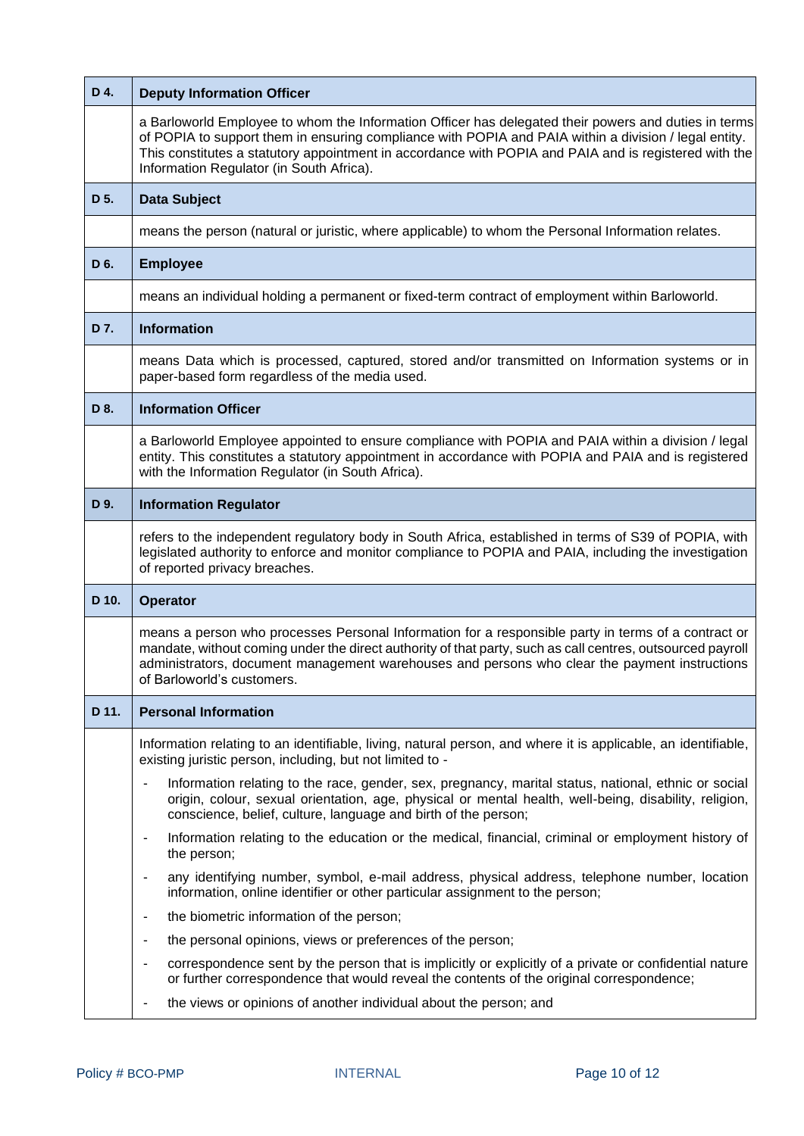| D 4.  | <b>Deputy Information Officer</b>                                                                                                                                                                                                                                                                                                                                  |  |  |
|-------|--------------------------------------------------------------------------------------------------------------------------------------------------------------------------------------------------------------------------------------------------------------------------------------------------------------------------------------------------------------------|--|--|
|       | a Barloworld Employee to whom the Information Officer has delegated their powers and duties in terms<br>of POPIA to support them in ensuring compliance with POPIA and PAIA within a division / legal entity.<br>This constitutes a statutory appointment in accordance with POPIA and PAIA and is registered with the<br>Information Regulator (in South Africa). |  |  |
| D 5.  | <b>Data Subject</b>                                                                                                                                                                                                                                                                                                                                                |  |  |
|       | means the person (natural or juristic, where applicable) to whom the Personal Information relates.                                                                                                                                                                                                                                                                 |  |  |
| D 6.  | <b>Employee</b>                                                                                                                                                                                                                                                                                                                                                    |  |  |
|       | means an individual holding a permanent or fixed-term contract of employment within Barloworld.                                                                                                                                                                                                                                                                    |  |  |
| D 7.  | <b>Information</b>                                                                                                                                                                                                                                                                                                                                                 |  |  |
|       | means Data which is processed, captured, stored and/or transmitted on Information systems or in<br>paper-based form regardless of the media used.                                                                                                                                                                                                                  |  |  |
| D 8.  | <b>Information Officer</b>                                                                                                                                                                                                                                                                                                                                         |  |  |
|       | a Barloworld Employee appointed to ensure compliance with POPIA and PAIA within a division / legal<br>entity. This constitutes a statutory appointment in accordance with POPIA and PAIA and is registered<br>with the Information Regulator (in South Africa).                                                                                                    |  |  |
| D 9.  | <b>Information Regulator</b>                                                                                                                                                                                                                                                                                                                                       |  |  |
|       | refers to the independent regulatory body in South Africa, established in terms of S39 of POPIA, with<br>legislated authority to enforce and monitor compliance to POPIA and PAIA, including the investigation<br>of reported privacy breaches.                                                                                                                    |  |  |
| D 10. | <b>Operator</b>                                                                                                                                                                                                                                                                                                                                                    |  |  |
|       | means a person who processes Personal Information for a responsible party in terms of a contract or<br>mandate, without coming under the direct authority of that party, such as call centres, outsourced payroll<br>administrators, document management warehouses and persons who clear the payment instructions<br>of Barloworld's customers.                   |  |  |
| D 11. | <b>Personal Information</b>                                                                                                                                                                                                                                                                                                                                        |  |  |
|       | Information relating to an identifiable, living, natural person, and where it is applicable, an identifiable,<br>existing juristic person, including, but not limited to -                                                                                                                                                                                         |  |  |
|       | Information relating to the race, gender, sex, pregnancy, marital status, national, ethnic or social<br>origin, colour, sexual orientation, age, physical or mental health, well-being, disability, religion,<br>conscience, belief, culture, language and birth of the person;                                                                                    |  |  |
|       | Information relating to the education or the medical, financial, criminal or employment history of<br>$\overline{\phantom{a}}$<br>the person;                                                                                                                                                                                                                      |  |  |
|       | any identifying number, symbol, e-mail address, physical address, telephone number, location<br>$\overline{\phantom{a}}$<br>information, online identifier or other particular assignment to the person;                                                                                                                                                           |  |  |
|       | the biometric information of the person;<br>$\overline{\phantom{a}}$                                                                                                                                                                                                                                                                                               |  |  |
|       | the personal opinions, views or preferences of the person;<br>$\overline{\phantom{0}}$                                                                                                                                                                                                                                                                             |  |  |
|       | correspondence sent by the person that is implicitly or explicitly of a private or confidential nature<br>or further correspondence that would reveal the contents of the original correspondence;                                                                                                                                                                 |  |  |
|       | the views or opinions of another individual about the person; and                                                                                                                                                                                                                                                                                                  |  |  |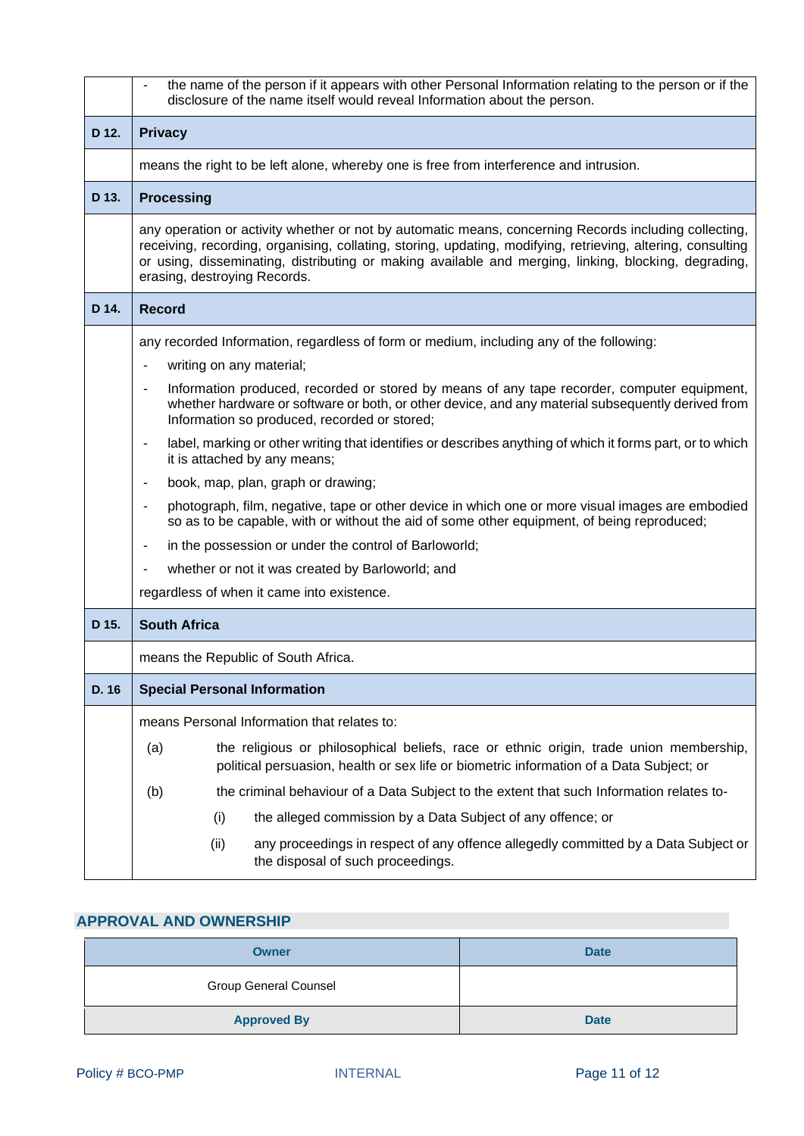|       | the name of the person if it appears with other Personal Information relating to the person or if the<br>disclosure of the name itself would reveal Information about the person.                                                                                                                                                                            |  |  |  |  |
|-------|--------------------------------------------------------------------------------------------------------------------------------------------------------------------------------------------------------------------------------------------------------------------------------------------------------------------------------------------------------------|--|--|--|--|
| D 12. | <b>Privacy</b>                                                                                                                                                                                                                                                                                                                                               |  |  |  |  |
|       | means the right to be left alone, whereby one is free from interference and intrusion.                                                                                                                                                                                                                                                                       |  |  |  |  |
| D 13. | <b>Processing</b>                                                                                                                                                                                                                                                                                                                                            |  |  |  |  |
|       | any operation or activity whether or not by automatic means, concerning Records including collecting,<br>receiving, recording, organising, collating, storing, updating, modifying, retrieving, altering, consulting<br>or using, disseminating, distributing or making available and merging, linking, blocking, degrading,<br>erasing, destroying Records. |  |  |  |  |
| D 14. | <b>Record</b>                                                                                                                                                                                                                                                                                                                                                |  |  |  |  |
|       | any recorded Information, regardless of form or medium, including any of the following:                                                                                                                                                                                                                                                                      |  |  |  |  |
|       | writing on any material;                                                                                                                                                                                                                                                                                                                                     |  |  |  |  |
|       | Information produced, recorded or stored by means of any tape recorder, computer equipment,<br>whether hardware or software or both, or other device, and any material subsequently derived from<br>Information so produced, recorded or stored;                                                                                                             |  |  |  |  |
|       | label, marking or other writing that identifies or describes anything of which it forms part, or to which<br>it is attached by any means;                                                                                                                                                                                                                    |  |  |  |  |
|       | book, map, plan, graph or drawing;<br>$\blacksquare$                                                                                                                                                                                                                                                                                                         |  |  |  |  |
|       | photograph, film, negative, tape or other device in which one or more visual images are embodied<br>$\blacksquare$<br>so as to be capable, with or without the aid of some other equipment, of being reproduced;                                                                                                                                             |  |  |  |  |
|       | in the possession or under the control of Barloworld;<br>$\blacksquare$                                                                                                                                                                                                                                                                                      |  |  |  |  |
|       | whether or not it was created by Barloworld; and                                                                                                                                                                                                                                                                                                             |  |  |  |  |
|       | regardless of when it came into existence.                                                                                                                                                                                                                                                                                                                   |  |  |  |  |
| D 15. | <b>South Africa</b>                                                                                                                                                                                                                                                                                                                                          |  |  |  |  |
|       | means the Republic of South Africa.                                                                                                                                                                                                                                                                                                                          |  |  |  |  |
| D. 16 | <b>Special Personal Information</b>                                                                                                                                                                                                                                                                                                                          |  |  |  |  |
|       | means Personal Information that relates to:                                                                                                                                                                                                                                                                                                                  |  |  |  |  |
|       | the religious or philosophical beliefs, race or ethnic origin, trade union membership,<br>(a)<br>political persuasion, health or sex life or biometric information of a Data Subject; or                                                                                                                                                                     |  |  |  |  |
|       | the criminal behaviour of a Data Subject to the extent that such Information relates to-<br>(b)                                                                                                                                                                                                                                                              |  |  |  |  |
|       | the alleged commission by a Data Subject of any offence; or<br>(i)                                                                                                                                                                                                                                                                                           |  |  |  |  |
|       | (ii)<br>any proceedings in respect of any offence allegedly committed by a Data Subject or<br>the disposal of such proceedings.                                                                                                                                                                                                                              |  |  |  |  |

## <span id="page-10-0"></span>**APPROVAL AND OWNERSHIP**

| <b>Owner</b>                 | <b>Date</b> |
|------------------------------|-------------|
| <b>Group General Counsel</b> |             |
| <b>Approved By</b>           | <b>Date</b> |